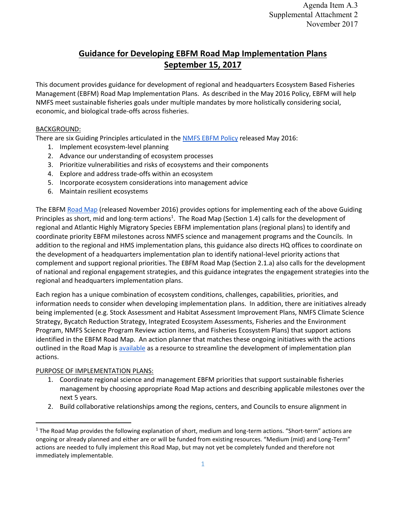# **Guidance for Developing EBFM Road Map Implementation Plans September 15, 2017**

This document provides guidance for development of regional and headquarters Ecosystem Based Fisheries Management (EBFM) Road Map Implementation Plans. As described in the May 2016 Policy, EBFM will help NMFS meet sustainable fisheries goals under multiple mandates by more holistically considering social, economic, and biological trade-offs across fisheries.

#### BACKGROUND:

There are six Guiding Principles articulated in the [NMFS EBFM Policy](http://www.nmfs.noaa.gov/op/pds/documents/01/01-120.pdf) released May 2016:

- 1. Implement ecosystem-level planning
- 2. Advance our understanding of ecosystem processes
- 3. Prioritize vulnerabilities and risks of ecosystems and their components
- 4. Explore and address trade-offs within an ecosystem
- 5. Incorporate ecosystem considerations into management advice
- 6. Maintain resilient ecosystems

The EBFM [Road Map](https://www.st.nmfs.noaa.gov/Assets/ecosystems/ebfm/EBFM_Road_Map_final.pdf) (released November 2016) provides options for implementing each of the above Guiding Principles as short, mid and long-term actions<sup>1</sup>. The Road Map (Section 1.4) calls for the development of regional and Atlantic Highly Migratory Species EBFM implementation plans (regional plans) to identify and coordinate priority EBFM milestones across NMFS science and management programs and the Councils. In addition to the regional and HMS implementation plans, this guidance also directs HQ offices to coordinate on the development of a headquarters implementation plan to identify national-level priority actions that complement and support regional priorities. The EBFM Road Map (Section 2.1.a) also calls for the development of national and regional engagement strategies, and this guidance integrates the engagement strategies into the regional and headquarters implementation plans.

Each region has a unique combination of ecosystem conditions, challenges, capabilities, priorities, and information needs to consider when developing implementation plans. In addition, there are initiatives already being implemented (e.g. Stock Assessment and Habitat Assessment Improvement Plans, NMFS Climate Science Strategy, Bycatch Reduction Strategy, Integrated Ecosystem Assessments, Fisheries and the Environment Program, NMFS Science Program Review action items, and Fisheries Ecosystem Plans) that support actions identified in the EBFM Road Map. An action planner that matches these ongoing initiatives with the actions outlined in the Road Map i[s available](https://docs.google.com/spreadsheets/d/1_AVHQ055vIJxQ8itlyUxxBufOJDCCw7DynDwGximzJo/edit#gid=1520461478) as a resource to streamline the development of implementation plan actions.

#### PURPOSE OF IMPLEMENTATION PLANS:

 $\overline{\phantom{a}}$ 

- 1. Coordinate regional science and management EBFM priorities that support sustainable fisheries management by choosing appropriate Road Map actions and describing applicable milestones over the next 5 years.
- 2. Build collaborative relationships among the regions, centers, and Councils to ensure alignment in

 $1$  The Road Map provides the following explanation of short, medium and long-term actions. "Short-term" actions are ongoing or already planned and either are or will be funded from existing resources. "Medium (mid) and Long-Term" actions are needed to fully implement this Road Map, but may not yet be completely funded and therefore not immediately implementable.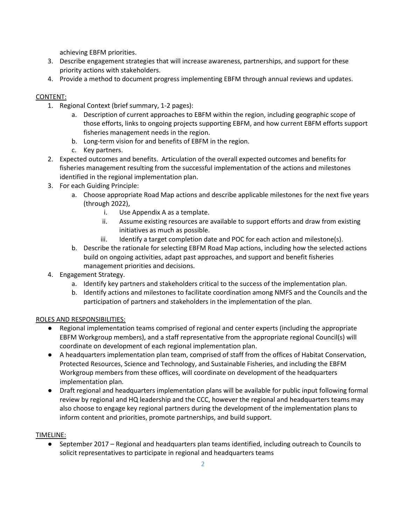achieving EBFM priorities.

- 3. Describe engagement strategies that will increase awareness, partnerships, and support for these priority actions with stakeholders.
- 4. Provide a method to document progress implementing EBFM through annual reviews and updates.

## CONTENT:

- 1. Regional Context (brief summary, 1-2 pages):
	- a. Description of current approaches to EBFM within the region, including geographic scope of those efforts, links to ongoing projects supporting EBFM, and how current EBFM efforts support fisheries management needs in the region.
	- b. Long-term vision for and benefits of EBFM in the region.
	- c. Key partners.
- 2. Expected outcomes and benefits. Articulation of the overall expected outcomes and benefits for fisheries management resulting from the successful implementation of the actions and milestones identified in the regional implementation plan.
- 3. For each Guiding Principle:
	- a. Choose appropriate Road Map actions and describe applicable milestones for the next five years (through 2022),
		- i. Use Appendix A as a template.
		- ii. Assume existing resources are available to support efforts and draw from existing initiatives as much as possible.
		- iii. Identify a target completion date and POC for each action and milestone(s).
	- b. Describe the rationale for selecting EBFM Road Map actions, including how the selected actions build on ongoing activities, adapt past approaches, and support and benefit fisheries management priorities and decisions.
- 4. Engagement Strategy.
	- a. Identify key partners and stakeholders critical to the success of the implementation plan.
	- b. Identify actions and milestones to facilitate coordination among NMFS and the Councils and the participation of partners and stakeholders in the implementation of the plan.

### ROLES AND RESPONSIBILITIES:

- Regional implementation teams comprised of regional and center experts (including the appropriate EBFM Workgroup members), and a staff representative from the appropriate regional Council(s) will coordinate on development of each regional implementation plan.
- A headquarters implementation plan team, comprised of staff from the offices of Habitat Conservation, Protected Resources, Science and Technology, and Sustainable Fisheries, and including the EBFM Workgroup members from these offices, will coordinate on development of the headquarters implementation plan.
- Draft regional and headquarters implementation plans will be available for public input following formal review by regional and HQ leadership and the CCC, however the regional and headquarters teams may also choose to engage key regional partners during the development of the implementation plans to inform content and priorities, promote partnerships, and build support.

### TIMELINE:

● September 2017 – Regional and headquarters plan teams identified, including outreach to Councils to solicit representatives to participate in regional and headquarters teams